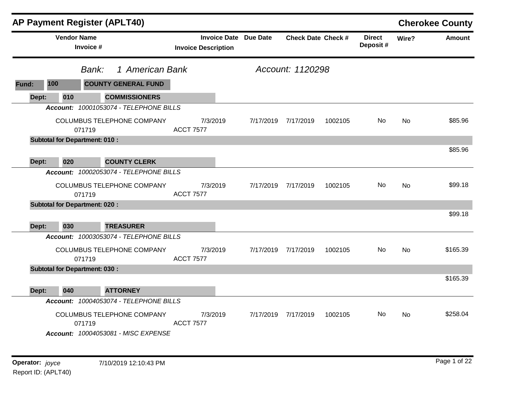|       |                                      |                          | <b>AP Payment Register (APLT40)</b>                               |                            |                              |           |                           |         |                           |           | <b>Cherokee County</b> |
|-------|--------------------------------------|--------------------------|-------------------------------------------------------------------|----------------------------|------------------------------|-----------|---------------------------|---------|---------------------------|-----------|------------------------|
|       | <b>Vendor Name</b>                   | Invoice #                |                                                                   | <b>Invoice Description</b> | <b>Invoice Date Due Date</b> |           | <b>Check Date Check #</b> |         | <b>Direct</b><br>Deposit# | Wire?     | <b>Amount</b>          |
|       |                                      | 1 American Bank<br>Bank: |                                                                   |                            |                              |           | Account: 1120298          |         |                           |           |                        |
| Fund: | 100                                  |                          | <b>COUNTY GENERAL FUND</b>                                        |                            |                              |           |                           |         |                           |           |                        |
| Dept: | 010                                  |                          | <b>COMMISSIONERS</b>                                              |                            |                              |           |                           |         |                           |           |                        |
|       |                                      |                          | Account: 10001053074 - TELEPHONE BILLS                            |                            |                              |           |                           |         |                           |           |                        |
|       |                                      | 071719                   | <b>COLUMBUS TELEPHONE COMPANY</b>                                 | <b>ACCT 7577</b>           | 7/3/2019                     | 7/17/2019 | 7/17/2019                 | 1002105 | No.                       | <b>No</b> | \$85.96                |
|       | <b>Subtotal for Department: 010:</b> |                          |                                                                   |                            |                              |           |                           |         |                           |           |                        |
| Dept: | 020                                  |                          | <b>COUNTY CLERK</b>                                               |                            |                              |           |                           |         |                           |           | \$85.96                |
|       |                                      |                          | Account: 10002053074 - TELEPHONE BILLS                            |                            |                              |           |                           |         |                           |           |                        |
|       |                                      | 071719                   | <b>COLUMBUS TELEPHONE COMPANY</b>                                 | <b>ACCT 7577</b>           | 7/3/2019                     | 7/17/2019 | 7/17/2019                 | 1002105 | <b>No</b>                 | <b>No</b> | \$99.18                |
|       | <b>Subtotal for Department: 020:</b> |                          |                                                                   |                            |                              |           |                           |         |                           |           |                        |
| Dept: | 030                                  |                          | <b>TREASURER</b>                                                  |                            |                              |           |                           |         |                           |           | \$99.18                |
|       |                                      |                          | Account: 10003053074 - TELEPHONE BILLS                            |                            |                              |           |                           |         |                           |           |                        |
|       |                                      | 071719                   | COLUMBUS TELEPHONE COMPANY                                        | <b>ACCT 7577</b>           | 7/3/2019                     | 7/17/2019 | 7/17/2019                 | 1002105 | <b>No</b>                 | <b>No</b> | \$165.39               |
|       | <b>Subtotal for Department: 030:</b> |                          |                                                                   |                            |                              |           |                           |         |                           |           |                        |
|       |                                      |                          |                                                                   |                            |                              |           |                           |         |                           |           | \$165.39               |
| Dept: | 040                                  |                          | <b>ATTORNEY</b>                                                   |                            |                              |           |                           |         |                           |           |                        |
|       |                                      |                          | Account: 10004053074 - TELEPHONE BILLS                            |                            |                              |           |                           |         |                           |           |                        |
|       |                                      | 071719                   | COLUMBUS TELEPHONE COMPANY<br>Account: 10004053081 - MISC EXPENSE | <b>ACCT 7577</b>           | 7/3/2019                     | 7/17/2019 | 7/17/2019                 | 1002105 | No.                       | No        | \$258.04               |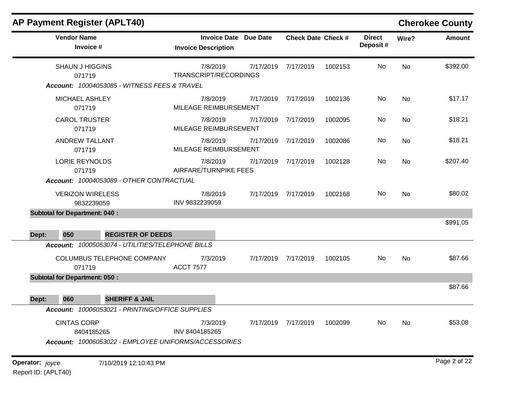|                                 |                                       | <b>AP Payment Register (APLT40)</b>              |                                                            |           |                           |         |                           |          | <b>Cherokee County</b> |
|---------------------------------|---------------------------------------|--------------------------------------------------|------------------------------------------------------------|-----------|---------------------------|---------|---------------------------|----------|------------------------|
|                                 | <b>Vendor Name</b><br>Invoice #       |                                                  | <b>Invoice Date Due Date</b><br><b>Invoice Description</b> |           | <b>Check Date Check #</b> |         | <b>Direct</b><br>Deposit# | Wire?    | <b>Amount</b>          |
|                                 | <b>SHAUN J HIGGINS</b><br>071719      |                                                  | 7/8/2019<br>TRANSCRIPT/RECORDINGS                          | 7/17/2019 | 7/17/2019                 | 1002153 | No                        | No       | \$392.00               |
|                                 |                                       | Account: 10004053085 - WITNESS FEES & TRAVEL     |                                                            |           |                           |         |                           |          |                        |
|                                 | <b>MICHAEL ASHLEY</b><br>071719       |                                                  | 7/8/2019<br>MILEAGE REIMBURSEMENT                          | 7/17/2019 | 7/17/2019                 | 1002136 | No                        | No       | \$17.17                |
|                                 | <b>CAROL TRUSTER</b><br>071719        |                                                  | 7/8/2019<br>MILEAGE REIMBURSEMENT                          | 7/17/2019 | 7/17/2019                 | 1002095 | No                        | No       | \$18.21                |
| <b>ANDREW TALLANT</b><br>071719 |                                       | 7/8/2019<br>MILEAGE REIMBURSEMENT                | 7/17/2019                                                  | 7/17/2019 | 1002086                   | No      | No                        | \$18.21  |                        |
| <b>LORIE REYNOLDS</b><br>071719 |                                       | 7/8/2019<br>AIRFARE/TURNPIKE FEES                | 7/17/2019                                                  | 7/17/2019 | 1002128                   | No      | No                        | \$207.40 |                        |
|                                 |                                       | Account: 10004053089 - OTHER CONTRACTUAL         |                                                            |           |                           |         |                           |          |                        |
|                                 | <b>VERIZON WIRELESS</b><br>9832239059 |                                                  | 7/8/2019<br>INV 9832239059                                 |           | 7/17/2019 7/17/2019       | 1002168 | No                        | No       | \$80.02                |
|                                 | <b>Subtotal for Department: 040:</b>  |                                                  |                                                            |           |                           |         |                           |          | \$991.05               |
| Dept:                           | 050                                   | <b>REGISTER OF DEEDS</b>                         |                                                            |           |                           |         |                           |          |                        |
|                                 |                                       | Account: 10005053074 - UTILITIES/TELEPHONE BILLS |                                                            |           |                           |         |                           |          |                        |
|                                 | 071719                                | COLUMBUS TELEPHONE COMPANY                       | 7/3/2019<br><b>ACCT 7577</b>                               | 7/17/2019 | 7/17/2019                 | 1002105 | No                        | No       | \$87.66                |
|                                 | <b>Subtotal for Department: 050:</b>  |                                                  |                                                            |           |                           |         |                           |          |                        |
| Dept:                           | 060                                   | <b>SHERIFF &amp; JAIL</b>                        |                                                            |           |                           |         |                           |          | \$87.66                |
|                                 |                                       | Account: 10006053021 - PRINTING/OFFICE SUPPLIES  |                                                            |           |                           |         |                           |          |                        |
|                                 | <b>CINTAS CORP</b>                    |                                                  | 7/3/2019<br>INV 8404185265                                 |           | 7/17/2019 7/17/2019       | 1002099 | No                        | No       | \$53.08                |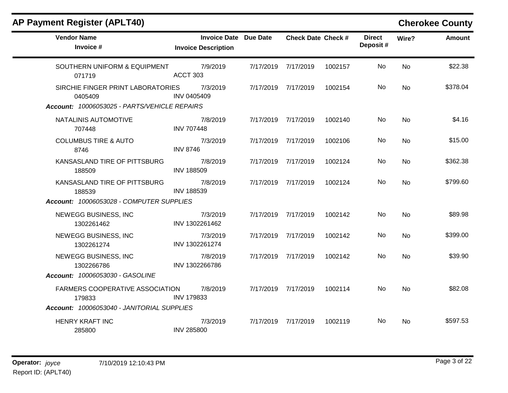| <b>AP Payment Register (APLT40)</b>                                                          |                                                            |           |                           |         |                           |                | <b>Cherokee County</b> |
|----------------------------------------------------------------------------------------------|------------------------------------------------------------|-----------|---------------------------|---------|---------------------------|----------------|------------------------|
| <b>Vendor Name</b><br>Invoice #                                                              | <b>Invoice Date Due Date</b><br><b>Invoice Description</b> |           | <b>Check Date Check #</b> |         | <b>Direct</b><br>Deposit# | Wire?          | Amount                 |
| SOUTHERN UNIFORM & EQUIPMENT<br>071719                                                       | 7/9/2019<br>ACCT 303                                       |           | 7/17/2019 7/17/2019       | 1002157 | No.                       | N <sub>0</sub> | \$22.38                |
| SIRCHIE FINGER PRINT LABORATORIES<br>0405409<br>Account: 10006053025 - PARTS/VEHICLE REPAIRS | 7/3/2019<br>INV 0405409                                    |           | 7/17/2019 7/17/2019       | 1002154 | No.                       | <b>No</b>      | \$378.04               |
| NATALINIS AUTOMOTIVE<br>707448                                                               | 7/8/2019<br><b>INV 707448</b>                              |           | 7/17/2019 7/17/2019       | 1002140 | <b>No</b>                 | <b>No</b>      | \$4.16                 |
| <b>COLUMBUS TIRE &amp; AUTO</b><br>8746                                                      | 7/3/2019<br><b>INV 8746</b>                                |           | 7/17/2019 7/17/2019       | 1002106 | No.                       | <b>No</b>      | \$15.00                |
| KANSASLAND TIRE OF PITTSBURG<br>188509                                                       | 7/8/2019<br><b>INV 188509</b>                              | 7/17/2019 | 7/17/2019                 | 1002124 | No.                       | <b>No</b>      | \$362.38               |
| KANSASLAND TIRE OF PITTSBURG<br>188539                                                       | 7/8/2019<br><b>INV 188539</b>                              |           | 7/17/2019 7/17/2019       | 1002124 | No.                       | <b>No</b>      | \$799.60               |
| Account: 10006053028 - COMPUTER SUPPLIES                                                     |                                                            |           |                           |         |                           |                |                        |
| NEWEGG BUSINESS, INC<br>1302261462                                                           | 7/3/2019<br>INV 1302261462                                 |           | 7/17/2019 7/17/2019       | 1002142 | No                        | <b>No</b>      | \$89.98                |
| NEWEGG BUSINESS, INC<br>1302261274                                                           | 7/3/2019<br>INV 1302261274                                 |           | 7/17/2019 7/17/2019       | 1002142 | No.                       | No.            | \$399.00               |
| NEWEGG BUSINESS, INC<br>1302266786                                                           | 7/8/2019<br>INV 1302266786                                 |           | 7/17/2019 7/17/2019       | 1002142 | No.                       | <b>No</b>      | \$39.90                |
| Account: 10006053030 - GASOLINE                                                              |                                                            |           |                           |         |                           |                |                        |
| <b>FARMERS COOPERATIVE ASSOCIATION</b><br>179833                                             | 7/8/2019<br><b>INV 179833</b>                              |           | 7/17/2019 7/17/2019       | 1002114 | No.                       | <b>No</b>      | \$82.08                |
| Account: 10006053040 - JANITORIAL SUPPLIES                                                   |                                                            |           |                           |         |                           |                |                        |
| <b>HENRY KRAFT INC</b><br>285800                                                             | 7/3/2019<br><b>INV 285800</b>                              |           | 7/17/2019 7/17/2019       | 1002119 | No.                       | No.            | \$597.53               |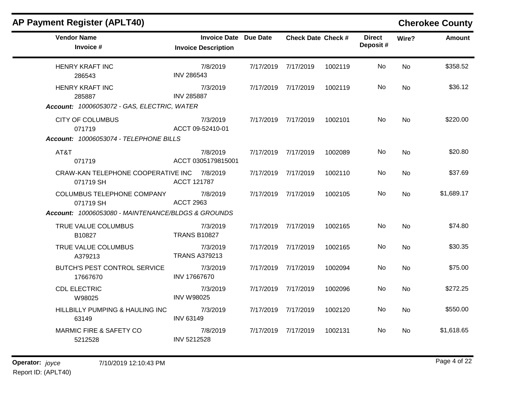| <b>AP Payment Register (APLT40)</b>                      |                                                            |                           |         |                           |           | <b>Cherokee County</b> |
|----------------------------------------------------------|------------------------------------------------------------|---------------------------|---------|---------------------------|-----------|------------------------|
| <b>Vendor Name</b><br>Invoice #                          | <b>Invoice Date Due Date</b><br><b>Invoice Description</b> | <b>Check Date Check #</b> |         | <b>Direct</b><br>Deposit# | Wire?     | <b>Amount</b>          |
| <b>HENRY KRAFT INC</b><br>286543                         | 7/8/2019<br><b>INV 286543</b>                              | 7/17/2019 7/17/2019       | 1002119 | No.                       | No        | \$358.52               |
| <b>HENRY KRAFT INC</b><br>285887                         | 7/3/2019<br><b>INV 285887</b>                              | 7/17/2019 7/17/2019       | 1002119 | No.                       | No.       | \$36.12                |
| Account: 10006053072 - GAS, ELECTRIC, WATER              |                                                            |                           |         |                           |           |                        |
| <b>CITY OF COLUMBUS</b><br>071719                        | 7/3/2019<br>ACCT 09-52410-01                               | 7/17/2019 7/17/2019       | 1002101 | No.                       | No.       | \$220.00               |
| Account: 10006053074 - TELEPHONE BILLS                   |                                                            |                           |         |                           |           |                        |
| AT&T<br>071719                                           | 7/8/2019<br>ACCT 0305179815001                             | 7/17/2019 7/17/2019       | 1002089 | No.                       | <b>No</b> | \$20.80                |
| CRAW-KAN TELEPHONE COOPERATIVE INC 7/8/2019<br>071719 SH | <b>ACCT 121787</b>                                         | 7/17/2019 7/17/2019       | 1002110 | No                        | <b>No</b> | \$37.69                |
| <b>COLUMBUS TELEPHONE COMPANY</b><br>071719 SH           | 7/8/2019<br><b>ACCT 2963</b>                               | 7/17/2019 7/17/2019       | 1002105 | No.                       | No.       | \$1,689.17             |
| Account: 10006053080 - MAINTENANCE/BLDGS & GROUNDS       |                                                            |                           |         |                           |           |                        |
| TRUE VALUE COLUMBUS<br>B10827                            | 7/3/2019<br><b>TRANS B10827</b>                            | 7/17/2019 7/17/2019       | 1002165 | No.                       | <b>No</b> | \$74.80                |
| TRUE VALUE COLUMBUS<br>A379213                           | 7/3/2019<br><b>TRANS A379213</b>                           | 7/17/2019 7/17/2019       | 1002165 | No                        | <b>No</b> | \$30.35                |
| <b>BUTCH'S PEST CONTROL SERVICE</b><br>17667670          | 7/3/2019<br>INV 17667670                                   | 7/17/2019 7/17/2019       | 1002094 | No.                       | <b>No</b> | \$75.00                |
| <b>CDL ELECTRIC</b><br>W98025                            | 7/3/2019<br><b>INV W98025</b>                              | 7/17/2019 7/17/2019       | 1002096 | No                        | <b>No</b> | \$272.25               |
| HILLBILLY PUMPING & HAULING INC<br>63149                 | 7/3/2019<br><b>INV 63149</b>                               | 7/17/2019 7/17/2019       | 1002120 | No.                       | <b>No</b> | \$550.00               |
| MARMIC FIRE & SAFETY CO<br>5212528                       | 7/8/2019<br>INV 5212528                                    | 7/17/2019 7/17/2019       | 1002131 | No.                       | <b>No</b> | \$1,618.65             |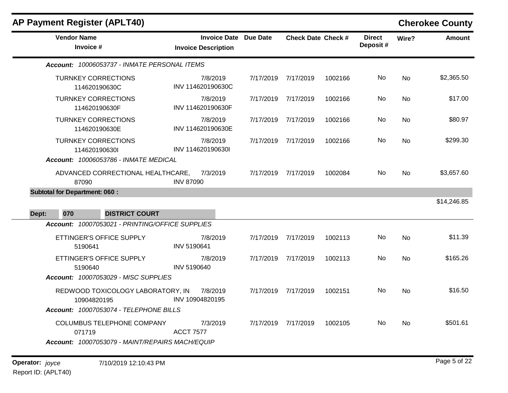| <b>AP Payment Register (APLT40)</b>                                                      |                                                            |           |                           |         |                           |           | <b>Cherokee County</b> |
|------------------------------------------------------------------------------------------|------------------------------------------------------------|-----------|---------------------------|---------|---------------------------|-----------|------------------------|
| <b>Vendor Name</b><br>Invoice #                                                          | <b>Invoice Date Due Date</b><br><b>Invoice Description</b> |           | <b>Check Date Check #</b> |         | <b>Direct</b><br>Deposit# | Wire?     | <b>Amount</b>          |
| Account: 10006053737 - INMATE PERSONAL ITEMS                                             |                                                            |           |                           |         |                           |           |                        |
| <b>TURNKEY CORRECTIONS</b><br>114620190630C                                              | 7/8/2019<br>INV 114620190630C                              | 7/17/2019 | 7/17/2019                 | 1002166 | No                        | <b>No</b> | \$2,365.50             |
| <b>TURNKEY CORRECTIONS</b><br>114620190630F                                              | 7/8/2019<br>INV 114620190630F                              |           | 7/17/2019 7/17/2019       | 1002166 | No.                       | No        | \$17.00                |
| <b>TURNKEY CORRECTIONS</b><br>114620190630E                                              | 7/8/2019<br>INV 114620190630E                              | 7/17/2019 | 7/17/2019                 | 1002166 | No                        | No        | \$80.97                |
| <b>TURNKEY CORRECTIONS</b><br>114620190630I                                              | 7/8/2019<br>INV 114620190630I                              |           | 7/17/2019 7/17/2019       | 1002166 | No.                       | No        | \$299.30               |
| Account: 10006053786 - INMATE MEDICAL<br>ADVANCED CORRECTIONAL HEALTHCARE,<br>87090      | 7/3/2019<br><b>INV 87090</b>                               |           | 7/17/2019 7/17/2019       | 1002084 | No                        | No        | \$3,657.60             |
| <b>Subtotal for Department: 060:</b>                                                     |                                                            |           |                           |         |                           |           |                        |
| 070<br><b>DISTRICT COURT</b><br>Dept:                                                    |                                                            |           |                           |         |                           |           | \$14,246.85            |
| Account: 10007053021 - PRINTING/OFFICE SUPPLIES                                          |                                                            |           |                           |         |                           |           |                        |
| ETTINGER'S OFFICE SUPPLY<br>5190641                                                      | 7/8/2019<br>INV 5190641                                    | 7/17/2019 | 7/17/2019                 | 1002113 | No                        | <b>No</b> | \$11.39                |
| ETTINGER'S OFFICE SUPPLY<br>5190640                                                      | 7/8/2019<br><b>INV 5190640</b>                             |           | 7/17/2019 7/17/2019       | 1002113 | No.                       | No        | \$165.26               |
| Account: 10007053029 - MISC SUPPLIES<br>REDWOOD TOXICOLOGY LABORATORY, IN<br>10904820195 | 7/8/2019<br>INV 10904820195                                |           | 7/17/2019 7/17/2019       | 1002151 | No.                       | No        | \$16.50                |
| Account: 10007053074 - TELEPHONE BILLS<br>COLUMBUS TELEPHONE COMPANY                     | 7/3/2019                                                   |           | 7/17/2019 7/17/2019       | 1002105 | No                        | <b>No</b> | \$501.61               |
| 071719<br>Account: 10007053079 - MAINT/REPAIRS MACH/EQUIP                                | <b>ACCT 7577</b>                                           |           |                           |         |                           |           |                        |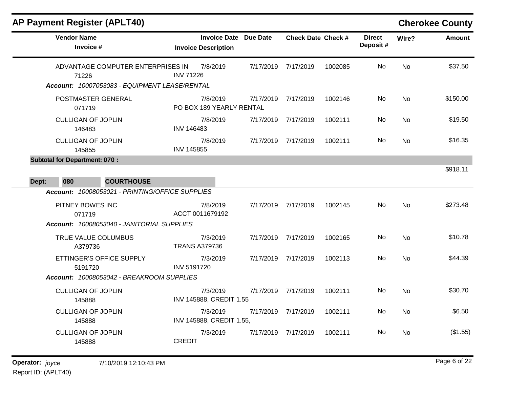| <b>AP Payment Register (APLT40)</b> |  |  |  |  |  |
|-------------------------------------|--|--|--|--|--|
|-------------------------------------|--|--|--|--|--|

# **Cherokee County**

| <b>Vendor Name</b><br>Invoice #                                                             | <b>Invoice Date Due Date</b><br><b>Invoice Description</b> |                     | <b>Check Date Check #</b> |         | <b>Direct</b><br>Deposit# | Wire?     | <b>Amount</b> |
|---------------------------------------------------------------------------------------------|------------------------------------------------------------|---------------------|---------------------------|---------|---------------------------|-----------|---------------|
| ADVANTAGE COMPUTER ENTERPRISES IN<br>71226<br>Account: 10007053083 - EQUIPMENT LEASE/RENTAL | 7/8/2019<br><b>INV 71226</b>                               | 7/17/2019           | 7/17/2019                 | 1002085 | No                        | No        | \$37.50       |
| POSTMASTER GENERAL<br>071719                                                                | 7/8/2019<br>PO BOX 189 YEARLY RENTAL                       | 7/17/2019           | 7/17/2019                 | 1002146 | No.                       | No        | \$150.00      |
| <b>CULLIGAN OF JOPLIN</b><br>146483                                                         | 7/8/2019<br><b>INV 146483</b>                              | 7/17/2019           | 7/17/2019                 | 1002111 | No.                       | <b>No</b> | \$19.50       |
| <b>CULLIGAN OF JOPLIN</b><br>145855                                                         | 7/8/2019<br><b>INV 145855</b>                              | 7/17/2019           | 7/17/2019                 | 1002111 | No.                       | No.       | \$16.35       |
| <b>Subtotal for Department: 070:</b><br>080<br><b>COURTHOUSE</b><br>Dept:                   |                                                            |                     |                           |         |                           |           | \$918.11      |
| Account: 10008053021 - PRINTING/OFFICE SUPPLIES                                             |                                                            |                     |                           |         |                           |           |               |
| PITNEY BOWES INC<br>071719<br>Account: 10008053040 - JANITORIAL SUPPLIES                    | 7/8/2019<br>ACCT 0011679192                                | 7/17/2019           | 7/17/2019                 | 1002145 | No.                       | <b>No</b> | \$273.48      |
| TRUE VALUE COLUMBUS<br>A379736                                                              | 7/3/2019<br><b>TRANS A379736</b>                           | 7/17/2019           | 7/17/2019                 | 1002165 | No                        | <b>No</b> | \$10.78       |
| ETTINGER'S OFFICE SUPPLY<br>5191720                                                         | 7/3/2019<br><b>INV 5191720</b>                             | 7/17/2019           | 7/17/2019                 | 1002113 | No.                       | <b>No</b> | \$44.39       |
| Account: 10008053042 - BREAKROOM SUPPLIES<br><b>CULLIGAN OF JOPLIN</b><br>145888            | 7/3/2019<br>INV 145888, CREDIT 1.55                        | 7/17/2019           | 7/17/2019                 | 1002111 | No                        | No.       | \$30.70       |
| <b>CULLIGAN OF JOPLIN</b><br>145888                                                         | 7/3/2019<br>INV 145888, CREDIT 1.55,                       | 7/17/2019 7/17/2019 |                           | 1002111 | No                        | No        | \$6.50        |
| <b>CULLIGAN OF JOPLIN</b><br>145888                                                         | 7/3/2019<br><b>CREDIT</b>                                  | 7/17/2019           | 7/17/2019                 | 1002111 | No.                       | No.       | (\$1.55)      |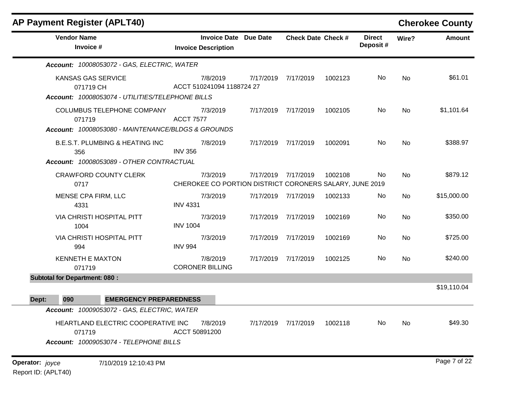| <b>AP Payment Register (APLT40)</b>                                                        |                                                                     |                           |         |                            |           | <b>Cherokee County</b> |
|--------------------------------------------------------------------------------------------|---------------------------------------------------------------------|---------------------------|---------|----------------------------|-----------|------------------------|
| <b>Vendor Name</b><br>Invoice #                                                            | <b>Invoice Date Due Date</b><br><b>Invoice Description</b>          | <b>Check Date Check #</b> |         | <b>Direct</b><br>Deposit # | Wire?     | <b>Amount</b>          |
| Account: 10008053072 - GAS, ELECTRIC, WATER                                                |                                                                     |                           |         |                            |           |                        |
| <b>KANSAS GAS SERVICE</b><br>071719 CH<br>Account: 10008053074 - UTILITIES/TELEPHONE BILLS | 7/8/2019<br>ACCT 510241094 1188724 27                               | 7/17/2019 7/17/2019       | 1002123 | No.                        | No        | \$61.01                |
| COLUMBUS TELEPHONE COMPANY<br>071719<br>Account: 10008053080 - MAINTENANCE/BLDGS & GROUNDS | 7/3/2019<br><b>ACCT 7577</b>                                        | 7/17/2019 7/17/2019       | 1002105 | No.                        | <b>No</b> | \$1,101.64             |
| <b>B.E.S.T. PLUMBING &amp; HEATING INC</b><br>356                                          | 7/8/2019<br><b>INV 356</b>                                          | 7/17/2019 7/17/2019       | 1002091 | No                         | No        | \$388.97               |
| Account: 10008053089 - OTHER CONTRACTUAL<br><b>CRAWFORD COUNTY CLERK</b><br>0717           | 7/3/2019<br>CHEROKEE CO PORTION DISTRICT CORONERS SALARY, JUNE 2019 | 7/17/2019 7/17/2019       | 1002108 | No                         | <b>No</b> | \$879.12               |
| <b>MENSE CPA FIRM, LLC</b><br>4331                                                         | 7/3/2019<br><b>INV 4331</b>                                         | 7/17/2019 7/17/2019       | 1002133 | No                         | No        | \$15,000.00            |
| VIA CHRISTI HOSPITAL PITT<br>1004                                                          | 7/3/2019<br><b>INV 1004</b>                                         | 7/17/2019 7/17/2019       | 1002169 | No                         | <b>No</b> | \$350.00               |
| <b>VIA CHRISTI HOSPITAL PITT</b><br>994                                                    | 7/3/2019<br><b>INV 994</b>                                          | 7/17/2019 7/17/2019       | 1002169 | No.                        | No        | \$725.00               |
| <b>KENNETH E MAXTON</b><br>071719                                                          | 7/8/2019<br><b>CORONER BILLING</b>                                  | 7/17/2019 7/17/2019       | 1002125 | No                         | No        | \$240.00               |
| <b>Subtotal for Department: 080:</b>                                                       |                                                                     |                           |         |                            |           |                        |
| 090<br>Dept:<br><b>EMERGENCY PREPAREDNESS</b>                                              |                                                                     |                           |         |                            |           | \$19,110.04            |
| Account: 10009053072 - GAS, ELECTRIC, WATER                                                |                                                                     |                           |         |                            |           |                        |
| HEARTLAND ELECTRIC COOPERATIVE INC<br>071719<br>Account: 10009053074 - TELEPHONE BILLS     | 7/8/2019<br>ACCT 50891200                                           | 7/17/2019 7/17/2019       | 1002118 | No                         | <b>No</b> | \$49.30                |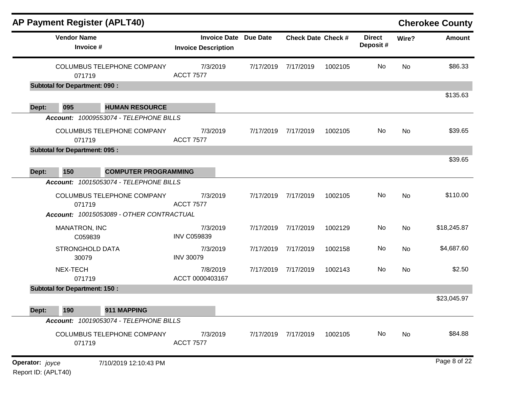|       |                                      | <b>AP Payment Register (APLT40)</b>                                    |                                                   |                 |                           |         |                           |       | <b>Cherokee County</b> |
|-------|--------------------------------------|------------------------------------------------------------------------|---------------------------------------------------|-----------------|---------------------------|---------|---------------------------|-------|------------------------|
|       | <b>Vendor Name</b><br>Invoice #      |                                                                        | <b>Invoice Date</b><br><b>Invoice Description</b> | <b>Due Date</b> | <b>Check Date Check #</b> |         | <b>Direct</b><br>Deposit# | Wire? | <b>Amount</b>          |
|       | 071719                               | <b>COLUMBUS TELEPHONE COMPANY</b>                                      | 7/3/2019<br><b>ACCT 7577</b>                      | 7/17/2019       | 7/17/2019                 | 1002105 | No                        | No    | \$86.33                |
|       | <b>Subtotal for Department: 090:</b> |                                                                        |                                                   |                 |                           |         |                           |       |                        |
| Dept: | 095                                  | <b>HUMAN RESOURCE</b>                                                  |                                                   |                 |                           |         |                           |       | \$135.63               |
|       |                                      | Account: 10009553074 - TELEPHONE BILLS                                 |                                                   |                 |                           |         |                           |       |                        |
|       | 071719                               | COLUMBUS TELEPHONE COMPANY                                             | 7/3/2019<br><b>ACCT 7577</b>                      | 7/17/2019       | 7/17/2019                 | 1002105 | No                        | No    | \$39.65                |
|       | <b>Subtotal for Department: 095:</b> |                                                                        |                                                   |                 |                           |         |                           |       |                        |
|       |                                      |                                                                        |                                                   |                 |                           |         |                           |       | \$39.65                |
| Dept: | 150                                  | <b>COMPUTER PROGRAMMING</b><br>Account: 10015053074 - TELEPHONE BILLS  |                                                   |                 |                           |         |                           |       |                        |
|       | 071719                               | COLUMBUS TELEPHONE COMPANY<br>Account: 10015053089 - OTHER CONTRACTUAL | 7/3/2019<br><b>ACCT 7577</b>                      | 7/17/2019       | 7/17/2019                 | 1002105 | No                        | No    | \$110.00               |
|       | MANATRON, INC<br>C059839             |                                                                        | 7/3/2019<br><b>INV C059839</b>                    | 7/17/2019       | 7/17/2019                 | 1002129 | No                        | No    | \$18,245.87            |
|       | <b>STRONGHOLD DATA</b><br>30079      |                                                                        | 7/3/2019<br><b>INV 30079</b>                      | 7/17/2019       | 7/17/2019                 | 1002158 | No                        | No    | \$4,687.60             |
|       | NEX-TECH<br>071719                   |                                                                        | 7/8/2019<br>ACCT 0000403167                       | 7/17/2019       | 7/17/2019                 | 1002143 | No                        | No    | \$2.50                 |
|       | <b>Subtotal for Department: 150:</b> |                                                                        |                                                   |                 |                           |         |                           |       |                        |
|       |                                      |                                                                        |                                                   |                 |                           |         |                           |       | \$23,045.97            |
| Dept: | 190                                  | 911 MAPPING<br>Account: 10019053074 - TELEPHONE BILLS                  |                                                   |                 |                           |         |                           |       |                        |
|       | 071719                               | <b>COLUMBUS TELEPHONE COMPANY</b>                                      | 7/3/2019<br><b>ACCT 7577</b>                      |                 | 7/17/2019 7/17/2019       | 1002105 | No                        | No    | \$84.88                |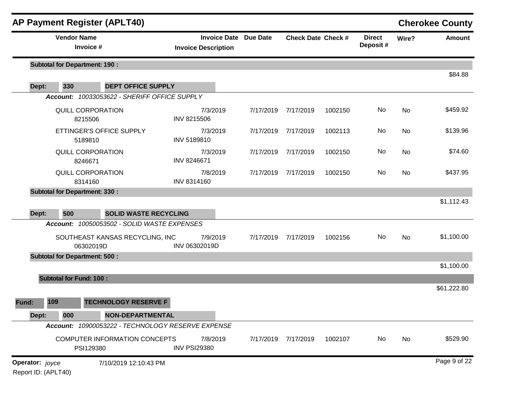|                 | <b>AP Payment Register (APLT40)</b>  |                                                                             |                                 |                              |                     |                           |                           |       | <b>Cherokee County</b> |
|-----------------|--------------------------------------|-----------------------------------------------------------------------------|---------------------------------|------------------------------|---------------------|---------------------------|---------------------------|-------|------------------------|
|                 | <b>Vendor Name</b><br>Invoice #      |                                                                             | <b>Invoice Description</b>      | <b>Invoice Date Due Date</b> |                     | <b>Check Date Check #</b> | <b>Direct</b><br>Deposit# | Wire? | <b>Amount</b>          |
|                 | <b>Subtotal for Department: 190:</b> |                                                                             |                                 |                              |                     |                           |                           |       |                        |
| Dept:           | 330                                  | <b>DEPT OFFICE SUPPLY</b>                                                   |                                 |                              |                     |                           |                           |       | \$84.88                |
|                 |                                      | Account: 10033053622 - SHERIFF OFFICE SUPPLY                                |                                 |                              |                     |                           |                           |       |                        |
|                 | <b>QUILL CORPORATION</b><br>8215506  |                                                                             | 7/3/2019<br><b>INV 8215506</b>  | 7/17/2019                    | 7/17/2019           | 1002150                   | No                        | No    | \$459.92               |
|                 | 5189810                              | ETTINGER'S OFFICE SUPPLY                                                    | 7/3/2019<br>INV 5189810         | 7/17/2019                    | 7/17/2019           | 1002113                   | No                        | No    | \$139.96               |
|                 | <b>QUILL CORPORATION</b><br>8246671  |                                                                             | 7/3/2019<br>INV 8246671         | 7/17/2019                    | 7/17/2019           | 1002150                   | No                        | No    | \$74.60                |
|                 | <b>QUILL CORPORATION</b><br>8314160  |                                                                             | 7/8/2019<br>INV 8314160         | 7/17/2019                    | 7/17/2019           | 1002150                   | No                        | No    | \$437.95               |
|                 | <b>Subtotal for Department: 330:</b> |                                                                             |                                 |                              |                     |                           |                           |       |                        |
|                 |                                      |                                                                             |                                 |                              |                     |                           |                           |       | \$1,112.43             |
| Dept:           | 500                                  | <b>SOLID WASTE RECYCLING</b><br>Account: 10050053502 - SOLID WASTE EXPENSES |                                 |                              |                     |                           |                           |       |                        |
|                 | 06302019D                            | SOUTHEAST KANSAS RECYCLING, INC                                             | 7/9/2019<br>INV 06302019D       | 7/17/2019                    | 7/17/2019           | 1002156                   | No                        | No    | \$1,100.00             |
|                 | <b>Subtotal for Department: 500:</b> |                                                                             |                                 |                              |                     |                           |                           |       |                        |
|                 |                                      |                                                                             |                                 |                              |                     |                           |                           |       | \$1,100.00             |
|                 | <b>Subtotal for Fund: 100:</b>       |                                                                             |                                 |                              |                     |                           |                           |       |                        |
|                 |                                      |                                                                             |                                 |                              |                     |                           |                           |       | \$61,222.80            |
| Fund:           | 109                                  | <b>TECHNOLOGY RESERVE F</b>                                                 |                                 |                              |                     |                           |                           |       |                        |
| Dept:           | 000                                  | <b>NON-DEPARTMENTAL</b>                                                     |                                 |                              |                     |                           |                           |       |                        |
|                 |                                      | Account: 10900053222 - TECHNOLOGY RESERVE EXPENSE                           |                                 |                              |                     |                           |                           |       |                        |
|                 | PSI129380                            | COMPUTER INFORMATION CONCEPTS                                               | 7/8/2019<br><b>INV PSI29380</b> |                              | 7/17/2019 7/17/2019 | 1002107                   | No                        | No    | \$529.90               |
| Operator: joyce |                                      | 7/10/2019 12:10:43 PM                                                       |                                 |                              |                     |                           |                           |       | Page 9 of 22           |

Report ID: (APLT40)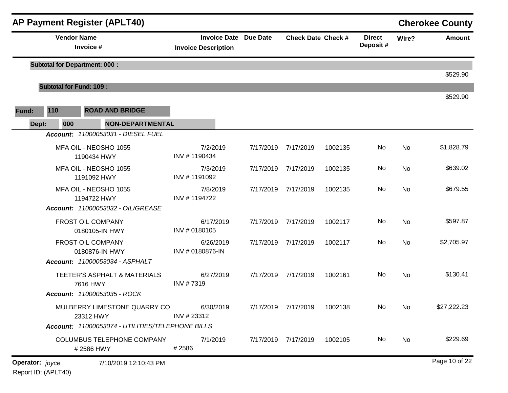|       |                                | <b>AP Payment Register (APLT40)</b>              |                                                            |           |                           |         |                            |           | <b>Cherokee County</b> |
|-------|--------------------------------|--------------------------------------------------|------------------------------------------------------------|-----------|---------------------------|---------|----------------------------|-----------|------------------------|
|       | <b>Vendor Name</b>             | Invoice #                                        | <b>Invoice Date Due Date</b><br><b>Invoice Description</b> |           | <b>Check Date Check #</b> |         | <b>Direct</b><br>Deposit # | Wire?     | <b>Amount</b>          |
|       |                                | <b>Subtotal for Department: 000:</b>             |                                                            |           |                           |         |                            |           | \$529.90               |
|       | <b>Subtotal for Fund: 109:</b> |                                                  |                                                            |           |                           |         |                            |           |                        |
| Fund: | 110<br><b>ROAD AND BRIDGE</b>  |                                                  |                                                            |           |                           |         |                            |           | \$529.90               |
| Dept: | 000                            | <b>NON-DEPARTMENTAL</b>                          |                                                            |           |                           |         |                            |           |                        |
|       |                                | Account: 11000053031 - DIESEL FUEL               |                                                            |           |                           |         |                            |           |                        |
|       |                                | MFA OIL - NEOSHO 1055<br>1190434 HWY             | 7/2/2019<br>INV #1190434                                   | 7/17/2019 | 7/17/2019                 | 1002135 | No                         | No        | \$1,828.79             |
|       |                                | MFA OIL - NEOSHO 1055<br>1191092 HWY             | 7/3/2019<br>INV #1191092                                   | 7/17/2019 | 7/17/2019                 | 1002135 | No                         | No        | \$639.02               |
|       |                                | MFA OIL - NEOSHO 1055<br>1194722 HWY             | 7/8/2019<br>INV #1194722                                   | 7/17/2019 | 7/17/2019                 | 1002135 | No                         | <b>No</b> | \$679.55               |
|       |                                | Account: 11000053032 - OIL/GREASE                |                                                            |           |                           |         |                            |           |                        |
|       |                                | FROST OIL COMPANY<br>0180105-IN HWY              | 6/17/2019<br>INV # 0180105                                 | 7/17/2019 | 7/17/2019                 | 1002117 | No                         | No        | \$597.87               |
|       |                                | FROST OIL COMPANY<br>0180876-IN HWY              | 6/26/2019<br>INV # 0180876-IN                              | 7/17/2019 | 7/17/2019                 | 1002117 | No                         | No        | \$2,705.97             |
|       |                                | <b>Account: 11000053034 - ASPHALT</b>            |                                                            |           |                           |         |                            |           |                        |
|       |                                | TEETER'S ASPHALT & MATERIALS<br>7616 HWY         | 6/27/2019<br>INV #7319                                     | 7/17/2019 | 7/17/2019                 | 1002161 | No                         | <b>No</b> | \$130.41               |
|       |                                | Account: 11000053035 - ROCK                      |                                                            |           |                           |         |                            |           |                        |
|       |                                | MULBERRY LIMESTONE QUARRY CO<br>23312 HWY        | 6/30/2019<br>INV #23312                                    |           | 7/17/2019 7/17/2019       | 1002138 | No                         | <b>No</b> | \$27,222.23            |
|       |                                | Account: 11000053074 - UTILITIES/TELEPHONE BILLS |                                                            |           |                           |         |                            |           |                        |
|       |                                | COLUMBUS TELEPHONE COMPANY<br>#2586 HWY          | 7/1/2019<br>#2586                                          |           | 7/17/2019 7/17/2019       | 1002105 | No.                        | No        | \$229.69               |
|       |                                |                                                  |                                                            |           |                           |         |                            |           | DoseA0A422             |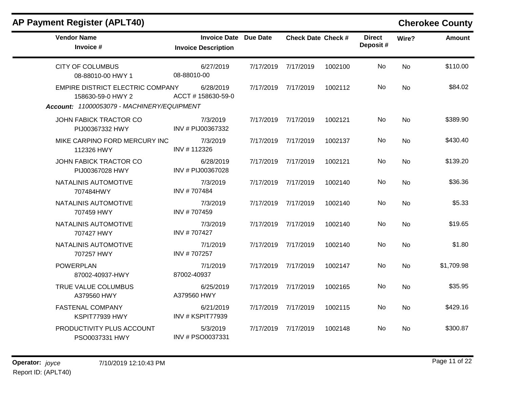## **AP Payment Register (APLT40) Cherokee County**

| <b>Vendor Name</b><br>Invoice #                                                                     | <b>Invoice Date Due Date</b><br><b>Invoice Description</b> |           | <b>Check Date Check #</b> |         | <b>Direct</b><br>Deposit# | Wire?     | <b>Amount</b> |
|-----------------------------------------------------------------------------------------------------|------------------------------------------------------------|-----------|---------------------------|---------|---------------------------|-----------|---------------|
| <b>CITY OF COLUMBUS</b><br>08-88010-00 HWY 1                                                        | 6/27/2019<br>08-88010-00                                   | 7/17/2019 | 7/17/2019                 | 1002100 | No                        | <b>No</b> | \$110.00      |
| EMPIRE DISTRICT ELECTRIC COMPANY<br>158630-59-0 HWY 2<br>Account: 11000053079 - MACHINERY/EQUIPMENT | 6/28/2019<br>ACCT #158630-59-0                             | 7/17/2019 | 7/17/2019                 | 1002112 | No                        | <b>No</b> | \$84.02       |
| JOHN FABICK TRACTOR CO<br>PIJ00367332 HWY                                                           | 7/3/2019<br>INV # PIJ00367332                              | 7/17/2019 | 7/17/2019                 | 1002121 | No.                       | No        | \$389.90      |
| MIKE CARPINO FORD MERCURY INC<br>112326 HWY                                                         | 7/3/2019<br>INV #112326                                    | 7/17/2019 | 7/17/2019                 | 1002137 | No                        | No        | \$430.40      |
| JOHN FABICK TRACTOR CO<br>PIJ00367028 HWY                                                           | 6/28/2019<br>INV # PIJ00367028                             | 7/17/2019 | 7/17/2019                 | 1002121 | No                        | <b>No</b> | \$139.20      |
| NATALINIS AUTOMOTIVE<br>707484HWY                                                                   | 7/3/2019<br>INV #707484                                    | 7/17/2019 | 7/17/2019                 | 1002140 | No.                       | <b>No</b> | \$36.36       |
| NATALINIS AUTOMOTIVE<br>707459 HWY                                                                  | 7/3/2019<br>INV #707459                                    |           | 7/17/2019 7/17/2019       | 1002140 | No                        | No        | \$5.33        |
| NATALINIS AUTOMOTIVE<br>707427 HWY                                                                  | 7/3/2019<br>INV #707427                                    | 7/17/2019 | 7/17/2019                 | 1002140 | No                        | <b>No</b> | \$19.65       |
| NATALINIS AUTOMOTIVE<br>707257 HWY                                                                  | 7/1/2019<br>INV #707257                                    | 7/17/2019 | 7/17/2019                 | 1002140 | No                        | No        | \$1.80        |
| <b>POWERPLAN</b><br>87002-40937-HWY                                                                 | 7/1/2019<br>87002-40937                                    | 7/17/2019 | 7/17/2019                 | 1002147 | No                        | <b>No</b> | \$1,709.98    |
| TRUE VALUE COLUMBUS<br>A379560 HWY                                                                  | 6/25/2019<br>A379560 HWY                                   | 7/17/2019 | 7/17/2019                 | 1002165 | No                        | <b>No</b> | \$35.95       |
| <b>FASTENAL COMPANY</b><br>KSPIT77939 HWY                                                           | 6/21/2019<br>INV # KSPIT77939                              | 7/17/2019 | 7/17/2019                 | 1002115 | No                        | No        | \$429.16      |
| PRODUCTIVITY PLUS ACCOUNT<br>PSO0037331 HWY                                                         | 5/3/2019<br>INV # PSO0037331                               | 7/17/2019 | 7/17/2019                 | 1002148 | No.                       | No        | \$300.87      |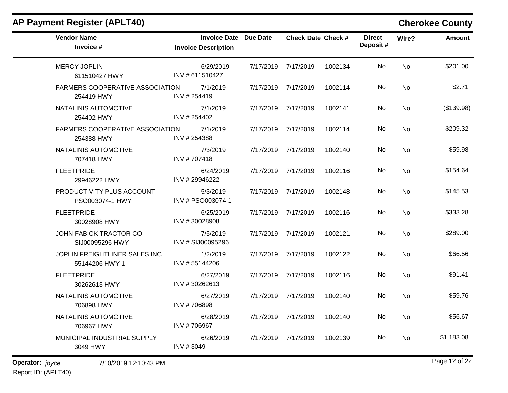| <b>AP Payment Register (APLT40)</b>                  |                                                            |           |                           |         |                           |           | <b>Cherokee County</b> |
|------------------------------------------------------|------------------------------------------------------------|-----------|---------------------------|---------|---------------------------|-----------|------------------------|
| <b>Vendor Name</b><br>Invoice #                      | <b>Invoice Date Due Date</b><br><b>Invoice Description</b> |           | <b>Check Date Check #</b> |         | <b>Direct</b><br>Deposit# | Wire?     | <b>Amount</b>          |
| <b>MERCY JOPLIN</b><br>611510427 HWY                 | 6/29/2019<br>INV #611510427                                | 7/17/2019 | 7/17/2019                 | 1002134 | No                        | No        | \$201.00               |
| FARMERS COOPERATIVE ASSOCIATION<br>254419 HWY        | 7/1/2019<br>INV #254419                                    | 7/17/2019 | 7/17/2019                 | 1002114 | No                        | No        | \$2.71                 |
| NATALINIS AUTOMOTIVE<br>254402 HWY                   | 7/1/2019<br>INV #254402                                    | 7/17/2019 | 7/17/2019                 | 1002141 | No.                       | No        | (\$139.98)             |
| <b>FARMERS COOPERATIVE ASSOCIATION</b><br>254388 HWY | 7/1/2019<br>INV #254388                                    | 7/17/2019 | 7/17/2019                 | 1002114 | No                        | <b>No</b> | \$209.32               |
| NATALINIS AUTOMOTIVE<br>707418 HWY                   | 7/3/2019<br>INV #707418                                    | 7/17/2019 | 7/17/2019                 | 1002140 | No                        | <b>No</b> | \$59.98                |
| <b>FLEETPRIDE</b><br>29946222 HWY                    | 6/24/2019<br>INV #29946222                                 | 7/17/2019 | 7/17/2019                 | 1002116 | No                        | No        | \$154.64               |
| PRODUCTIVITY PLUS ACCOUNT<br>PSO003074-1 HWY         | 5/3/2019<br>INV # PSO003074-1                              | 7/17/2019 | 7/17/2019                 | 1002148 | No.                       | No        | \$145.53               |
| <b>FLEETPRIDE</b><br>30028908 HWY                    | 6/25/2019<br>INV #30028908                                 | 7/17/2019 | 7/17/2019                 | 1002116 | No                        | <b>No</b> | \$333.28               |
| JOHN FABICK TRACTOR CO<br>SIJ00095296 HWY            | 7/5/2019<br>INV # SIJ00095296                              | 7/17/2019 | 7/17/2019                 | 1002121 | No                        | <b>No</b> | \$289.00               |
| JOPLIN FREIGHTLINER SALES INC<br>55144206 HWY 1      | 1/2/2019<br>INV #55144206                                  | 7/17/2019 | 7/17/2019                 | 1002122 | No                        | No        | \$66.56                |
| <b>FLEETPRIDE</b><br>30262613 HWY                    | 6/27/2019<br>INV #30262613                                 | 7/17/2019 | 7/17/2019                 | 1002116 | No                        | <b>No</b> | \$91.41                |
| NATALINIS AUTOMOTIVE<br>706898 HWY                   | 6/27/2019<br>INV #706898                                   | 7/17/2019 | 7/17/2019                 | 1002140 | No                        | <b>No</b> | \$59.76                |
| NATALINIS AUTOMOTIVE<br>706967 HWY                   | 6/28/2019<br>INV #706967                                   |           | 7/17/2019 7/17/2019       | 1002140 | No                        | No        | \$56.67                |
| MUNICIPAL INDUSTRIAL SUPPLY<br>3049 HWY              | 6/26/2019<br>INV #3049                                     |           | 7/17/2019 7/17/2019       | 1002139 | No                        | No        | \$1,183.08             |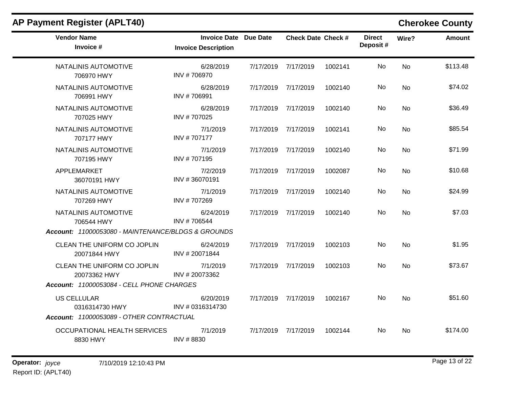| <b>AP Payment Register (APLT40)</b>                                                      |                                                            |           |                           |         |                           |           | <b>Cherokee County</b> |
|------------------------------------------------------------------------------------------|------------------------------------------------------------|-----------|---------------------------|---------|---------------------------|-----------|------------------------|
| <b>Vendor Name</b><br>Invoice #                                                          | <b>Invoice Date Due Date</b><br><b>Invoice Description</b> |           | <b>Check Date Check #</b> |         | <b>Direct</b><br>Deposit# | Wire?     | Amount                 |
| NATALINIS AUTOMOTIVE<br>706970 HWY                                                       | 6/28/2019<br>INV #706970                                   |           | 7/17/2019 7/17/2019       | 1002141 | No                        | <b>No</b> | \$113.48               |
| NATALINIS AUTOMOTIVE<br>706991 HWY                                                       | 6/28/2019<br>INV #706991                                   |           | 7/17/2019 7/17/2019       | 1002140 | No.                       | <b>No</b> | \$74.02                |
| NATALINIS AUTOMOTIVE<br>707025 HWY                                                       | 6/28/2019<br>INV #707025                                   |           | 7/17/2019 7/17/2019       | 1002140 | No.                       | No        | \$36.49                |
| NATALINIS AUTOMOTIVE<br>707177 HWY                                                       | 7/1/2019<br>INV #707177                                    |           | 7/17/2019 7/17/2019       | 1002141 | No.                       | <b>No</b> | \$85.54                |
| NATALINIS AUTOMOTIVE<br>707195 HWY                                                       | 7/1/2019<br>INV #707195                                    |           | 7/17/2019 7/17/2019       | 1002140 | No.                       | <b>No</b> | \$71.99                |
| APPLEMARKET<br>36070191 HWY                                                              | 7/2/2019<br>INV #36070191                                  |           | 7/17/2019 7/17/2019       | 1002087 | No.                       | No        | \$10.68                |
| NATALINIS AUTOMOTIVE<br>707269 HWY                                                       | 7/1/2019<br>INV #707269                                    |           | 7/17/2019 7/17/2019       | 1002140 | No                        | No.       | \$24.99                |
| NATALINIS AUTOMOTIVE<br>706544 HWY<br>Account: 11000053080 - MAINTENANCE/BLDGS & GROUNDS | 6/24/2019<br>INV #706544                                   |           | 7/17/2019 7/17/2019       | 1002140 | No                        | No.       | \$7.03                 |
| CLEAN THE UNIFORM CO JOPLIN<br>20071844 HWY                                              | 6/24/2019<br>INV #20071844                                 | 7/17/2019 | 7/17/2019                 | 1002103 | No                        | No        | \$1.95                 |
| CLEAN THE UNIFORM CO JOPLIN<br>20073362 HWY                                              | 7/1/2019<br>INV #20073362                                  |           | 7/17/2019 7/17/2019       | 1002103 | No                        | No        | \$73.67                |
| Account: 11000053084 - CELL PHONE CHARGES                                                |                                                            |           |                           |         |                           |           |                        |
| <b>US CELLULAR</b><br>0316314730 HWY                                                     | 6/20/2019<br>INV # 0316314730                              |           | 7/17/2019 7/17/2019       | 1002167 | No.                       | <b>No</b> | \$51.60                |
| Account: 11000053089 - OTHER CONTRACTUAL                                                 |                                                            |           |                           |         |                           |           |                        |
| OCCUPATIONAL HEALTH SERVICES<br>8830 HWY                                                 | 7/1/2019<br>INV #8830                                      |           | 7/17/2019 7/17/2019       | 1002144 | No.                       | No        | \$174.00               |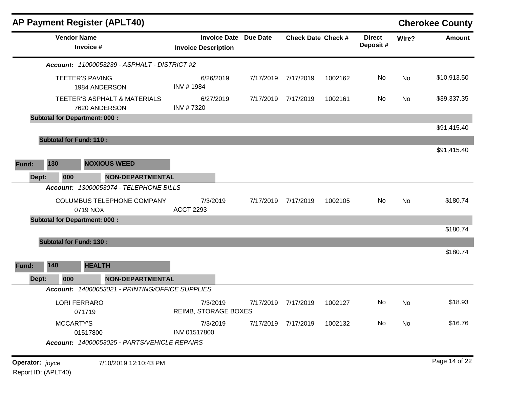| <b>AP Payment Register (APLT40)</b>                                          |                                                   |                 |                           |         |                           |       | <b>Cherokee County</b> |
|------------------------------------------------------------------------------|---------------------------------------------------|-----------------|---------------------------|---------|---------------------------|-------|------------------------|
| <b>Vendor Name</b><br>Invoice #                                              | <b>Invoice Date</b><br><b>Invoice Description</b> | <b>Due Date</b> | <b>Check Date Check #</b> |         | <b>Direct</b><br>Deposit# | Wire? | <b>Amount</b>          |
| <b>Account: 11000053239 - ASPHALT - DISTRICT #2</b>                          |                                                   |                 |                           |         |                           |       |                        |
| <b>TEETER'S PAVING</b><br>1984 ANDERSON                                      | 6/26/2019<br>INV #1984                            | 7/17/2019       | 7/17/2019                 | 1002162 | No                        | No    | \$10,913.50            |
| TEETER'S ASPHALT & MATERIALS<br>7620 ANDERSON                                | 6/27/2019<br>INV #7320                            | 7/17/2019       | 7/17/2019                 | 1002161 | No                        | No    | \$39,337.35            |
| <b>Subtotal for Department: 000:</b>                                         |                                                   |                 |                           |         |                           |       |                        |
|                                                                              |                                                   |                 |                           |         |                           |       | \$91,415.40            |
| <b>Subtotal for Fund: 110:</b>                                               |                                                   |                 |                           |         |                           |       |                        |
|                                                                              |                                                   |                 |                           |         |                           |       | \$91,415.40            |
| 130<br><b>NOXIOUS WEED</b><br>Fund:                                          |                                                   |                 |                           |         |                           |       |                        |
| Dept:<br>000<br><b>NON-DEPARTMENTAL</b>                                      |                                                   |                 |                           |         |                           |       |                        |
| Account: 13000053074 - TELEPHONE BILLS                                       |                                                   |                 |                           |         |                           |       |                        |
| COLUMBUS TELEPHONE COMPANY<br>0719 NOX                                       | 7/3/2019<br><b>ACCT 2293</b>                      | 7/17/2019       | 7/17/2019                 | 1002105 | No.                       | No    | \$180.74               |
| <b>Subtotal for Department: 000:</b>                                         |                                                   |                 |                           |         |                           |       |                        |
|                                                                              |                                                   |                 |                           |         |                           |       | \$180.74               |
| <b>Subtotal for Fund: 130:</b>                                               |                                                   |                 |                           |         |                           |       |                        |
|                                                                              |                                                   |                 |                           |         |                           |       | \$180.74               |
| 140<br><b>HEALTH</b><br>Fund:                                                |                                                   |                 |                           |         |                           |       |                        |
| <b>NON-DEPARTMENTAL</b><br>Dept:<br>000                                      |                                                   |                 |                           |         |                           |       |                        |
| Account: 14000053021 - PRINTING/OFFICE SUPPLIES                              |                                                   |                 |                           |         |                           |       |                        |
| <b>LORI FERRARO</b><br>071719                                                | 7/3/2019<br>REIMB, STORAGE BOXES                  |                 | 7/17/2019 7/17/2019       | 1002127 | No                        | No    | \$18.93                |
| <b>MCCARTY'S</b><br>01517800<br>Account: 14000053025 - PARTS/VEHICLE REPAIRS | 7/3/2019<br>INV 01517800                          |                 | 7/17/2019 7/17/2019       | 1002132 | No                        | No    | \$16.76                |
| Operator: joyce<br>7/10/2019 12:10:43 PM                                     |                                                   |                 |                           |         |                           |       | Page 14 of 22          |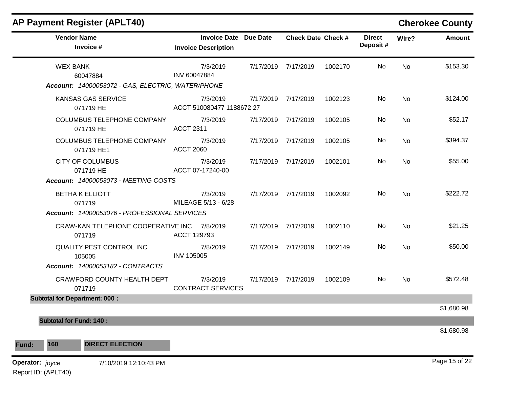| <b>Vendor Name</b><br>Invoice #                       | Invoice Date Due Date<br><b>Invoice Description</b> |           | <b>Check Date Check #</b> |         | <b>Direct</b><br>Deposit# | Wire?          | <b>Amount</b> |
|-------------------------------------------------------|-----------------------------------------------------|-----------|---------------------------|---------|---------------------------|----------------|---------------|
| <b>WEX BANK</b><br>60047884                           | 7/3/2019<br>INV 60047884                            |           | 7/17/2019 7/17/2019       | 1002170 | No.                       | <b>No</b>      | \$153.30      |
| Account: 14000053072 - GAS, ELECTRIC, WATER/PHONE     |                                                     |           |                           |         |                           |                |               |
| KANSAS GAS SERVICE<br>071719 HE                       | 7/3/2019<br>ACCT 510080477 1188672 27               | 7/17/2019 | 7/17/2019                 | 1002123 | <b>No</b>                 | No             | \$124.00      |
| COLUMBUS TELEPHONE COMPANY<br>071719 HE               | 7/3/2019<br><b>ACCT 2311</b>                        |           | 7/17/2019 7/17/2019       | 1002105 | No.                       | No.            | \$52.17       |
| COLUMBUS TELEPHONE COMPANY<br>071719 HE1              | 7/3/2019<br><b>ACCT 2060</b>                        |           | 7/17/2019 7/17/2019       | 1002105 | No                        | No             | \$394.37      |
| <b>CITY OF COLUMBUS</b><br>071719 HE                  | 7/3/2019<br>ACCT 07-17240-00                        |           | 7/17/2019 7/17/2019       | 1002101 | No.                       | N <sub>o</sub> | \$55.00       |
| <b>Account: 14000053073 - MEETING COSTS</b>           |                                                     |           |                           |         |                           |                |               |
| <b>BETHA K ELLIOTT</b><br>071719                      | 7/3/2019<br>MILEAGE 5/13 - 6/28                     |           | 7/17/2019 7/17/2019       | 1002092 | No.                       | <b>No</b>      | \$222.72      |
| Account: 14000053076 - PROFESSIONAL SERVICES          |                                                     |           |                           |         |                           |                |               |
| CRAW-KAN TELEPHONE COOPERATIVE INC 7/8/2019<br>071719 | ACCT 129793                                         |           | 7/17/2019 7/17/2019       | 1002110 | No                        | <b>No</b>      | \$21.25       |
| QUALITY PEST CONTROL INC<br>105005                    | 7/8/2019<br><b>INV 105005</b>                       |           | 7/17/2019 7/17/2019       | 1002149 | No.                       | No.            | \$50.00       |
| Account: 14000053182 - CONTRACTS                      |                                                     |           |                           |         |                           |                |               |
| CRAWFORD COUNTY HEALTH DEPT<br>071719                 | 7/3/2019<br><b>CONTRACT SERVICES</b>                |           | 7/17/2019 7/17/2019       | 1002109 | No.                       | No.            | \$572.48      |
| <b>Subtotal for Department: 000:</b>                  |                                                     |           |                           |         |                           |                |               |
|                                                       |                                                     |           |                           |         |                           |                | \$1,680.98    |
| <b>Subtotal for Fund: 140:</b>                        |                                                     |           |                           |         |                           |                |               |
|                                                       |                                                     |           |                           |         |                           |                | \$1,680.98    |
| 160<br><b>DIRECT ELECTION</b>                         |                                                     |           |                           |         |                           |                |               |

### **AP Payment Register (APLT40) Cherokee County**

Report ID: (APLT40)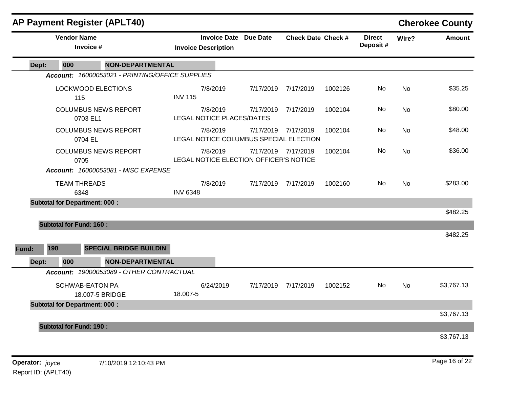|       | <b>AP Payment Register (APLT40)</b>  | <b>Cherokee County</b>                          |                 |                                                            |           |                           |         |                           |           |               |
|-------|--------------------------------------|-------------------------------------------------|-----------------|------------------------------------------------------------|-----------|---------------------------|---------|---------------------------|-----------|---------------|
|       | <b>Vendor Name</b><br>Invoice #      |                                                 |                 | <b>Invoice Date Due Date</b><br><b>Invoice Description</b> |           | <b>Check Date Check #</b> |         | <b>Direct</b><br>Deposit# | Wire?     | <b>Amount</b> |
| Dept: | 000                                  | <b>NON-DEPARTMENTAL</b>                         |                 |                                                            |           |                           |         |                           |           |               |
|       |                                      | Account: 16000053021 - PRINTING/OFFICE SUPPLIES |                 |                                                            |           |                           |         |                           |           |               |
|       | <b>LOCKWOOD ELECTIONS</b><br>115     |                                                 | <b>INV 115</b>  | 7/8/2019                                                   | 7/17/2019 | 7/17/2019                 | 1002126 | No                        | No.       | \$35.25       |
|       | 0703 EL1                             | <b>COLUMBUS NEWS REPORT</b>                     |                 | 7/8/2019<br>LEGAL NOTICE PLACES/DATES                      | 7/17/2019 | 7/17/2019                 | 1002104 | No                        | No        | \$80.00       |
|       | 0704 EL                              | <b>COLUMBUS NEWS REPORT</b>                     |                 | 7/8/2019<br>LEGAL NOTICE COLUMBUS SPECIAL ELECTION         | 7/17/2019 | 7/17/2019                 | 1002104 | No.                       | <b>No</b> | \$48.00       |
|       | 0705                                 | <b>COLUMBUS NEWS REPORT</b>                     |                 | 7/8/2019<br>LEGAL NOTICE ELECTION OFFICER'S NOTICE         |           | 7/17/2019 7/17/2019       | 1002104 | <b>No</b>                 | <b>No</b> | \$36.00       |
|       |                                      | Account: 16000053081 - MISC EXPENSE             |                 |                                                            |           |                           |         |                           |           |               |
|       | <b>TEAM THREADS</b><br>6348          |                                                 | <b>INV 6348</b> | 7/8/2019                                                   |           | 7/17/2019 7/17/2019       | 1002160 | No                        | <b>No</b> | \$283.00      |
|       | <b>Subtotal for Department: 000:</b> |                                                 |                 |                                                            |           |                           |         |                           |           |               |
|       |                                      |                                                 |                 |                                                            |           |                           |         |                           |           | \$482.25      |
|       | <b>Subtotal for Fund: 160:</b>       |                                                 |                 |                                                            |           |                           |         |                           |           |               |
|       |                                      |                                                 |                 |                                                            |           |                           |         |                           |           | \$482.25      |
| Fund: | 190                                  | <b>SPECIAL BRIDGE BUILDIN</b>                   |                 |                                                            |           |                           |         |                           |           |               |
| Dept: | 000                                  | <b>NON-DEPARTMENTAL</b>                         |                 |                                                            |           |                           |         |                           |           |               |
|       |                                      | Account: 19000053089 - OTHER CONTRACTUAL        |                 |                                                            |           |                           |         |                           |           |               |
|       | <b>SCHWAB-EATON PA</b>               | 18.007-5 BRIDGE                                 | 18.007-5        | 6/24/2019                                                  | 7/17/2019 | 7/17/2019                 | 1002152 | No                        | <b>No</b> | \$3,767.13    |
|       | <b>Subtotal for Department: 000:</b> |                                                 |                 |                                                            |           |                           |         |                           |           | \$3,767.13    |
|       | <b>Subtotal for Fund: 190:</b>       |                                                 |                 |                                                            |           |                           |         |                           |           |               |
|       |                                      |                                                 |                 |                                                            |           |                           |         |                           |           | \$3,767.13    |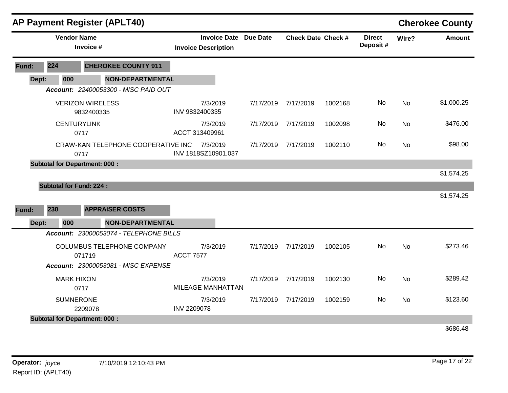|       |                                | <b>AP Payment Register (APLT40)</b>        |                    |                                                            |           |                           |         |                           |           | <b>Cherokee County</b> |
|-------|--------------------------------|--------------------------------------------|--------------------|------------------------------------------------------------|-----------|---------------------------|---------|---------------------------|-----------|------------------------|
|       | <b>Vendor Name</b>             | Invoice #                                  |                    | <b>Invoice Date Due Date</b><br><b>Invoice Description</b> |           | <b>Check Date Check #</b> |         | <b>Direct</b><br>Deposit# | Wire?     | Amount                 |
| Fund: | 224                            | <b>CHEROKEE COUNTY 911</b>                 |                    |                                                            |           |                           |         |                           |           |                        |
| Dept: | 000                            | <b>NON-DEPARTMENTAL</b>                    |                    |                                                            |           |                           |         |                           |           |                        |
|       |                                | Account: 22400053300 - MISC PAID OUT       |                    |                                                            |           |                           |         |                           |           |                        |
|       |                                | <b>VERIZON WIRELESS</b><br>9832400335      |                    | 7/3/2019<br>INV 9832400335                                 | 7/17/2019 | 7/17/2019                 | 1002168 | No                        | <b>No</b> | \$1,000.25             |
|       |                                | <b>CENTURYLINK</b><br>0717                 |                    | 7/3/2019<br>ACCT 313409961                                 | 7/17/2019 | 7/17/2019                 | 1002098 | No.                       | <b>No</b> | \$476.00               |
|       |                                | CRAW-KAN TELEPHONE COOPERATIVE INC<br>0717 |                    | 7/3/2019<br>INV 1818SZ10901.037                            | 7/17/2019 | 7/17/2019                 | 1002110 | No                        | <b>No</b> | \$98.00                |
|       |                                | <b>Subtotal for Department: 000:</b>       |                    |                                                            |           |                           |         |                           |           |                        |
|       |                                |                                            |                    |                                                            |           |                           |         |                           |           | \$1,574.25             |
|       | <b>Subtotal for Fund: 224:</b> |                                            |                    |                                                            |           |                           |         |                           |           |                        |
|       |                                |                                            |                    |                                                            |           |                           |         |                           |           | \$1,574.25             |
| Fund: | 230                            | <b>APPRAISER COSTS</b>                     |                    |                                                            |           |                           |         |                           |           |                        |
| Dept: | 000                            | <b>NON-DEPARTMENTAL</b>                    |                    |                                                            |           |                           |         |                           |           |                        |
|       |                                | Account: 23000053074 - TELEPHONE BILLS     |                    |                                                            |           |                           |         |                           |           |                        |
|       |                                | COLUMBUS TELEPHONE COMPANY<br>071719       | <b>ACCT 7577</b>   | 7/3/2019                                                   | 7/17/2019 | 7/17/2019                 | 1002105 | <b>No</b>                 | <b>No</b> | \$273.46               |
|       |                                | Account: 23000053081 - MISC EXPENSE        |                    |                                                            |           |                           |         |                           |           |                        |
|       | <b>MARK HIXON</b>              | 0717                                       |                    | 7/3/2019<br><b>MILEAGE MANHATTAN</b>                       | 7/17/2019 | 7/17/2019                 | 1002130 | No.                       | <b>No</b> | \$289.42               |
|       | <b>SUMNERONE</b>               | 2209078                                    | <b>INV 2209078</b> | 7/3/2019                                                   | 7/17/2019 | 7/17/2019                 | 1002159 | No.                       | <b>No</b> | \$123.60               |
|       |                                | <b>Subtotal for Department: 000:</b>       |                    |                                                            |           |                           |         |                           |           |                        |
|       |                                |                                            |                    |                                                            |           |                           |         |                           |           | \$686.48               |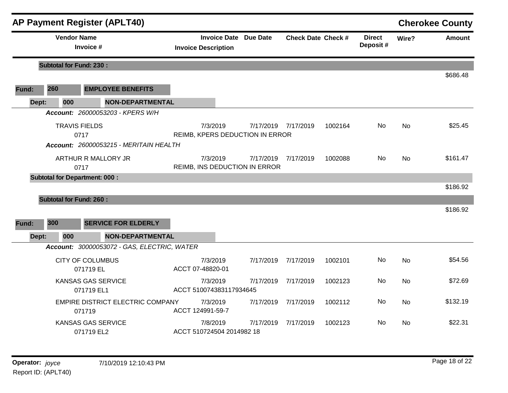|       |       |                      | <b>AP Payment Register (APLT40)</b>               |                                             |                              |                           |         |                           |           | <b>Cherokee County</b> |
|-------|-------|----------------------|---------------------------------------------------|---------------------------------------------|------------------------------|---------------------------|---------|---------------------------|-----------|------------------------|
|       |       | <b>Vendor Name</b>   | Invoice #                                         | <b>Invoice Description</b>                  | <b>Invoice Date Due Date</b> | <b>Check Date Check #</b> |         | <b>Direct</b><br>Deposit# | Wire?     | <b>Amount</b>          |
|       |       |                      | <b>Subtotal for Fund: 230:</b>                    |                                             |                              |                           |         |                           |           |                        |
|       |       |                      |                                                   |                                             |                              |                           |         |                           |           | \$686.48               |
| Fund: | 260   |                      | <b>EMPLOYEE BENEFITS</b>                          |                                             |                              |                           |         |                           |           |                        |
|       | Dept: | 000                  | <b>NON-DEPARTMENTAL</b>                           |                                             |                              |                           |         |                           |           |                        |
|       |       |                      | Account: 26000053203 - KPERS W/H                  |                                             |                              |                           |         |                           |           |                        |
|       |       | <b>TRAVIS FIELDS</b> | 0717                                              | 7/3/2019<br>REIMB, KPERS DEDUCTION IN ERROR | 7/17/2019 7/17/2019          |                           | 1002164 | No.                       | <b>No</b> | \$25.45                |
|       |       |                      | Account: 26000053215 - MERITAIN HEALTH            |                                             |                              |                           |         |                           |           |                        |
|       |       | 0717                 | ARTHUR R MALLORY JR                               | 7/3/2019<br>REIMB, INS DEDUCTION IN ERROR   | 7/17/2019 7/17/2019          |                           | 1002088 | No                        | <b>No</b> | \$161.47               |
|       |       |                      | <b>Subtotal for Department: 000:</b>              |                                             |                              |                           |         |                           |           |                        |
|       |       |                      |                                                   |                                             |                              |                           |         |                           |           | \$186.92               |
|       |       |                      | <b>Subtotal for Fund: 260:</b>                    |                                             |                              |                           |         |                           |           |                        |
|       |       |                      |                                                   |                                             |                              |                           |         |                           |           | \$186.92               |
| Fund: | 300   |                      | <b>SERVICE FOR ELDERLY</b>                        |                                             |                              |                           |         |                           |           |                        |
|       | Dept: | 000                  | <b>NON-DEPARTMENTAL</b>                           |                                             |                              |                           |         |                           |           |                        |
|       |       |                      | Account: 30000053072 - GAS, ELECTRIC, WATER       |                                             |                              |                           |         |                           |           |                        |
|       |       |                      | <b>CITY OF COLUMBUS</b><br>071719 EL              | 7/3/2019<br>ACCT 07-48820-01                | 7/17/2019                    | 7/17/2019                 | 1002101 | No                        | <b>No</b> | \$54.56                |
|       |       |                      | <b>KANSAS GAS SERVICE</b><br>071719 EL1           | 7/3/2019<br>ACCT 510074383117934645         | 7/17/2019                    | 7/17/2019                 | 1002123 | No                        | <b>No</b> | \$72.69                |
|       |       |                      | <b>EMPIRE DISTRICT ELECTRIC COMPANY</b><br>071719 | 7/3/2019<br>ACCT 124991-59-7                | 7/17/2019 7/17/2019          |                           | 1002112 | No                        | <b>No</b> | \$132.19               |
|       |       |                      | <b>KANSAS GAS SERVICE</b><br>071719 EL2           | 7/8/2019<br>ACCT 510724504 2014982 18       | 7/17/2019                    | 7/17/2019                 | 1002123 | No.                       | <b>No</b> | \$22.31                |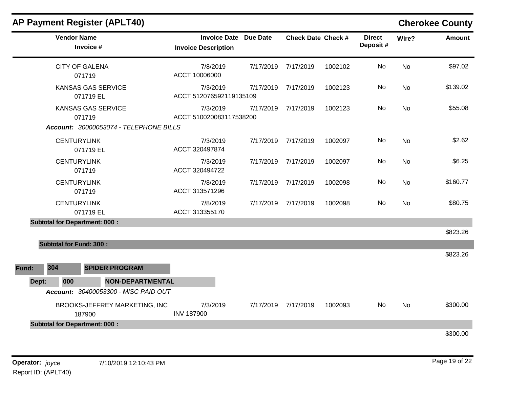|       |     |                    | <b>AP Payment Register (APLT40)</b>     |                                     |                              |                           |         |                           |           | <b>Cherokee County</b> |
|-------|-----|--------------------|-----------------------------------------|-------------------------------------|------------------------------|---------------------------|---------|---------------------------|-----------|------------------------|
|       |     | <b>Vendor Name</b> | Invoice #                               | <b>Invoice Description</b>          | <b>Invoice Date Due Date</b> | <b>Check Date Check #</b> |         | <b>Direct</b><br>Deposit# | Wire?     | <b>Amount</b>          |
|       |     |                    | <b>CITY OF GALENA</b><br>071719         | 7/8/2019<br>ACCT 10006000           | 7/17/2019                    | 7/17/2019                 | 1002102 | No                        | <b>No</b> | \$97.02                |
|       |     |                    | <b>KANSAS GAS SERVICE</b><br>071719 EL  | 7/3/2019<br>ACCT 512076592119135109 | 7/17/2019                    | 7/17/2019                 | 1002123 | No                        | <b>No</b> | \$139.02               |
|       |     |                    | <b>KANSAS GAS SERVICE</b><br>071719     | 7/3/2019<br>ACCT 510020083117538200 | 7/17/2019                    | 7/17/2019                 | 1002123 | No                        | <b>No</b> | \$55.08                |
|       |     |                    | Account: 30000053074 - TELEPHONE BILLS  |                                     |                              |                           |         |                           |           |                        |
|       |     | <b>CENTURYLINK</b> | 071719 EL                               | 7/3/2019<br>ACCT 320497874          | 7/17/2019                    | 7/17/2019                 | 1002097 | No.                       | <b>No</b> | \$2.62                 |
|       |     | <b>CENTURYLINK</b> | 071719                                  | 7/3/2019<br>ACCT 320494722          | 7/17/2019                    | 7/17/2019                 | 1002097 | No.                       | No        | \$6.25                 |
|       |     | <b>CENTURYLINK</b> | 071719                                  | 7/8/2019<br>ACCT 313571296          | 7/17/2019                    | 7/17/2019                 | 1002098 | No                        | No.       | \$160.77               |
|       |     | <b>CENTURYLINK</b> | 071719 EL                               | 7/8/2019<br>ACCT 313355170          | 7/17/2019                    | 7/17/2019                 | 1002098 | No                        | <b>No</b> | \$80.75                |
|       |     |                    | <b>Subtotal for Department: 000:</b>    |                                     |                              |                           |         |                           |           |                        |
|       |     |                    |                                         |                                     |                              |                           |         |                           |           | \$823.26               |
|       |     |                    | <b>Subtotal for Fund: 300:</b>          |                                     |                              |                           |         |                           |           |                        |
|       |     |                    |                                         |                                     |                              |                           |         |                           |           | \$823.26               |
| Fund: | 304 |                    | <b>SPIDER PROGRAM</b>                   |                                     |                              |                           |         |                           |           |                        |
| Dept: |     | 000                | <b>NON-DEPARTMENTAL</b>                 |                                     |                              |                           |         |                           |           |                        |
|       |     |                    | Account: 30400053300 - MISC PAID OUT    |                                     |                              |                           |         |                           |           |                        |
|       |     |                    | BROOKS-JEFFREY MARKETING, INC<br>187900 | 7/3/2019<br><b>INV 187900</b>       | 7/17/2019                    | 7/17/2019                 | 1002093 | No.                       | <b>No</b> | \$300.00               |
|       |     |                    | <b>Subtotal for Department: 000:</b>    |                                     |                              |                           |         |                           |           |                        |
|       |     |                    |                                         |                                     |                              |                           |         |                           |           | \$300.00               |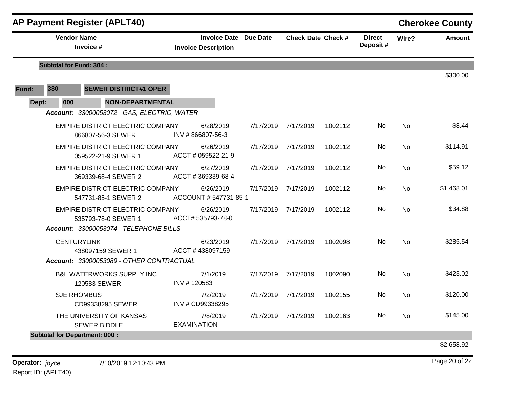|       |                                | <b>AP Payment Register (APLT40)</b>                            |                                                            |           |                           |         |                           |           | <b>Cherokee County</b> |
|-------|--------------------------------|----------------------------------------------------------------|------------------------------------------------------------|-----------|---------------------------|---------|---------------------------|-----------|------------------------|
|       | <b>Vendor Name</b>             | Invoice #                                                      | <b>Invoice Date Due Date</b><br><b>Invoice Description</b> |           | <b>Check Date Check #</b> |         | <b>Direct</b><br>Deposit# | Wire?     | Amount                 |
|       | <b>Subtotal for Fund: 304:</b> |                                                                |                                                            |           |                           |         |                           |           | \$300.00               |
| Fund: | 330                            | <b>SEWER DISTRICT#1 OPER</b>                                   |                                                            |           |                           |         |                           |           |                        |
| Dept: | 000                            | <b>NON-DEPARTMENTAL</b>                                        |                                                            |           |                           |         |                           |           |                        |
|       |                                | Account: 33000053072 - GAS, ELECTRIC, WATER                    |                                                            |           |                           |         |                           |           |                        |
|       |                                | <b>EMPIRE DISTRICT ELECTRIC COMPANY</b><br>866807-56-3 SEWER   | 6/28/2019<br>INV #866807-56-3                              | 7/17/2019 | 7/17/2019                 | 1002112 | No                        | <b>No</b> | \$8.44                 |
|       |                                | <b>EMPIRE DISTRICT ELECTRIC COMPANY</b><br>059522-21-9 SEWER 1 | 6/26/2019<br>ACCT # 059522-21-9                            |           | 7/17/2019 7/17/2019       | 1002112 | No.                       | <b>No</b> | \$114.91               |
|       |                                | <b>EMPIRE DISTRICT ELECTRIC COMPANY</b><br>369339-68-4 SEWER 2 | 6/27/2019<br>ACCT #369339-68-4                             | 7/17/2019 | 7/17/2019                 | 1002112 | No                        | <b>No</b> | \$59.12                |
|       |                                | EMPIRE DISTRICT ELECTRIC COMPANY<br>547731-85-1 SEWER 2        | 6/26/2019<br>ACCOUNT # 547731-85-1                         | 7/17/2019 | 7/17/2019                 | 1002112 | No.                       | No        | \$1,468.01             |
|       |                                | <b>EMPIRE DISTRICT ELECTRIC COMPANY</b><br>535793-78-0 SEWER 1 | 6/26/2019<br>ACCT# 535793-78-0                             |           | 7/17/2019 7/17/2019       | 1002112 | No                        | <b>No</b> | \$34.88                |
|       |                                | Account: 33000053074 - TELEPHONE BILLS                         |                                                            |           |                           |         |                           |           |                        |
|       |                                | <b>CENTURYLINK</b><br>438097159 SEWER 1                        | 6/23/2019<br>ACCT#438097159                                | 7/17/2019 | 7/17/2019                 | 1002098 | No                        | <b>No</b> | \$285.54               |
|       |                                | Account: 33000053089 - OTHER CONTRACTUAL                       |                                                            |           |                           |         |                           |           |                        |
|       |                                | <b>B&amp;L WATERWORKS SUPPLY INC</b><br>120583 SEWER           | 7/1/2019<br>INV #120583                                    | 7/17/2019 | 7/17/2019                 | 1002090 | No                        | No        | \$423.02               |
|       |                                | <b>SJE RHOMBUS</b><br>CD99338295 SEWER                         | 7/2/2019<br>INV # CD99338295                               |           | 7/17/2019 7/17/2019       | 1002155 | No                        | <b>No</b> | \$120.00               |
|       |                                | THE UNIVERSITY OF KANSAS<br><b>SEWER BIDDLE</b>                | 7/8/2019<br><b>EXAMINATION</b>                             |           | 7/17/2019 7/17/2019       | 1002163 | No.                       | No        | \$145.00               |
|       |                                | <b>Subtotal for Department: 000:</b>                           |                                                            |           |                           |         |                           |           |                        |
|       |                                |                                                                |                                                            |           |                           |         |                           |           | \$2,658.92             |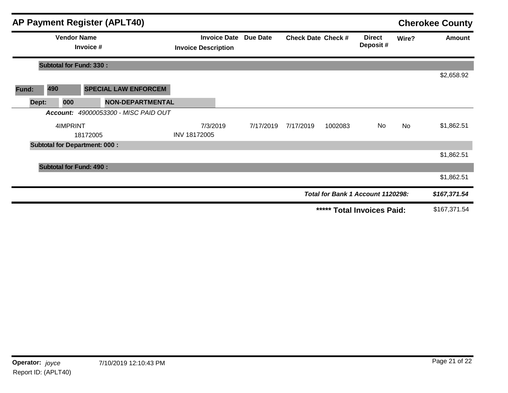|       |                                      |                                 | <b>AP Payment Register (APLT40)</b>  |                            |                              |                           |         |                                   |           | <b>Cherokee County</b> |
|-------|--------------------------------------|---------------------------------|--------------------------------------|----------------------------|------------------------------|---------------------------|---------|-----------------------------------|-----------|------------------------|
|       |                                      | <b>Vendor Name</b><br>Invoice # |                                      | <b>Invoice Description</b> | <b>Invoice Date Due Date</b> | <b>Check Date Check #</b> |         | <b>Direct</b><br>Deposit#         | Wire?     | Amount                 |
|       | <b>Subtotal for Fund: 330:</b>       |                                 |                                      |                            |                              |                           |         |                                   |           |                        |
|       |                                      |                                 |                                      |                            |                              |                           |         |                                   |           | \$2,658.92             |
| Fund: | 490                                  |                                 | <b>SPECIAL LAW ENFORCEM</b>          |                            |                              |                           |         |                                   |           |                        |
| Dept: | 000                                  |                                 | <b>NON-DEPARTMENTAL</b>              |                            |                              |                           |         |                                   |           |                        |
|       |                                      |                                 | Account: 49000053300 - MISC PAID OUT |                            |                              |                           |         |                                   |           |                        |
|       | 4IMPRINT                             |                                 |                                      | 7/3/2019                   | 7/17/2019                    | 7/17/2019                 | 1002083 | No                                | <b>No</b> | \$1,862.51             |
|       |                                      | 18172005                        |                                      | INV 18172005               |                              |                           |         |                                   |           |                        |
|       | <b>Subtotal for Department: 000:</b> |                                 |                                      |                            |                              |                           |         |                                   |           |                        |
|       |                                      |                                 |                                      |                            |                              |                           |         |                                   |           | \$1,862.51             |
|       | <b>Subtotal for Fund: 490:</b>       |                                 |                                      |                            |                              |                           |         |                                   |           |                        |
|       |                                      |                                 |                                      |                            |                              |                           |         |                                   |           | \$1,862.51             |
|       |                                      |                                 |                                      |                            |                              |                           |         | Total for Bank 1 Account 1120298: |           | \$167,371.54           |
|       |                                      |                                 |                                      |                            |                              |                           |         | ***** Total Invoices Paid:        |           | \$167,371.54           |